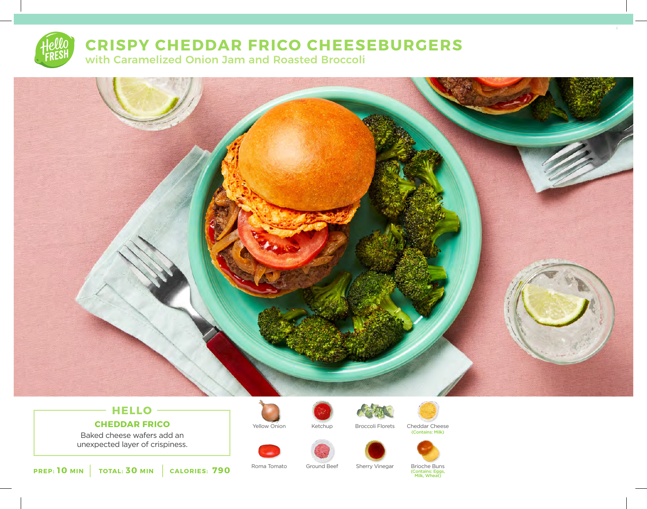

## **CRISPY CHEDDAR FRICO CHEESEBURGERS**

with Caramelized Onion Jam and Roasted Broccoli



## **HELLO CHEDDAR FRICO**

Baked cheese wafers add an unexpected layer of crispiness.





Yellow Onion Ketchup Broccoli Florets Cheddar Cheese (Contains: Milk)





**PREP: 10 MIN TOTAL: 30 MIN CALORIES: 790**

Roma Tomato Ground Beef Sherry Vinegar Brioche Buns

(Contains: Eggs, Milk, Wheat)